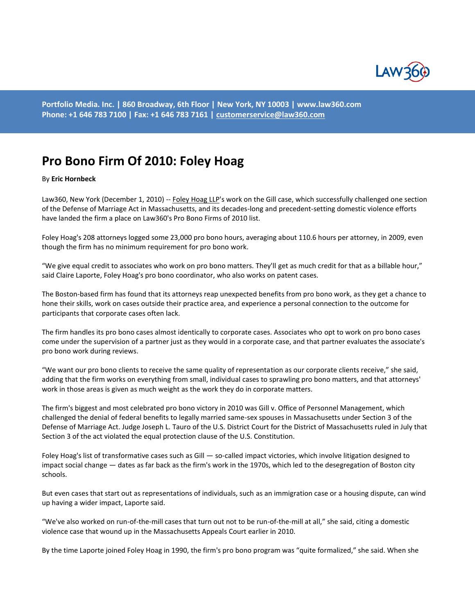

**Portfolio Media. Inc. | 860 Broadway, 6th Floor | New York, NY 10003 | www.law360.com Phone: +1 646 783 7100 | Fax: +1 646 783 7161 [| customerservice@law360.com](mailto:customerservice@law360.com)**

## **Pro Bono Firm Of 2010: Foley Hoag**

## By **Eric Hornbeck**

Law360, New York (December 1, 2010) -- [Foley Hoag LLP's](http://www.law360.com/search?q=firm:%22Foley%20Hoag%22) work on the Gill case, which successfully challenged one section of the Defense of Marriage Act in Massachusetts, and its decades-long and precedent-setting domestic violence efforts have landed the firm a place on Law360's Pro Bono Firms of 2010 list.

Foley Hoag's 208 attorneys logged some 23,000 pro bono hours, averaging about 110.6 hours per attorney, in 2009, even though the firm has no minimum requirement for pro bono work.

"We give equal credit to associates who work on pro bono matters. They'll get as much credit for that as a billable hour," said Claire Laporte, Foley Hoag's pro bono coordinator, who also works on patent cases.

The Boston-based firm has found that its attorneys reap unexpected benefits from pro bono work, as they get a chance to hone their skills, work on cases outside their practice area, and experience a personal connection to the outcome for participants that corporate cases often lack.

The firm handles its pro bono cases almost identically to corporate cases. Associates who opt to work on pro bono cases come under the supervision of a partner just as they would in a corporate case, and that partner evaluates the associate's pro bono work during reviews.

"We want our pro bono clients to receive the same quality of representation as our corporate clients receive," she said, adding that the firm works on everything from small, individual cases to sprawling pro bono matters, and that attorneys' work in those areas is given as much weight as the work they do in corporate matters.

The firm's biggest and most celebrated pro bono victory in 2010 was Gill v. Office of Personnel Management, which challenged the denial of federal benefits to legally married same-sex spouses in Massachusetts under Section 3 of the Defense of Marriage Act. Judge Joseph L. Tauro of the U.S. District Court for the District of Massachusetts ruled in July that Section 3 of the act violated the equal protection clause of the U.S. Constitution.

Foley Hoag's list of transformative cases such as Gill — so-called impact victories, which involve litigation designed to impact social change — dates as far back as the firm's work in the 1970s, which led to the desegregation of Boston city schools.

But even cases that start out as representations of individuals, such as an immigration case or a housing dispute, can wind up having a wider impact, Laporte said.

"We've also worked on run-of-the-mill cases that turn out not to be run-of-the-mill at all," she said, citing a domestic violence case that wound up in the Massachusetts Appeals Court earlier in 2010.

By the time Laporte joined Foley Hoag in 1990, the firm's pro bono program was "quite formalized," she said. When she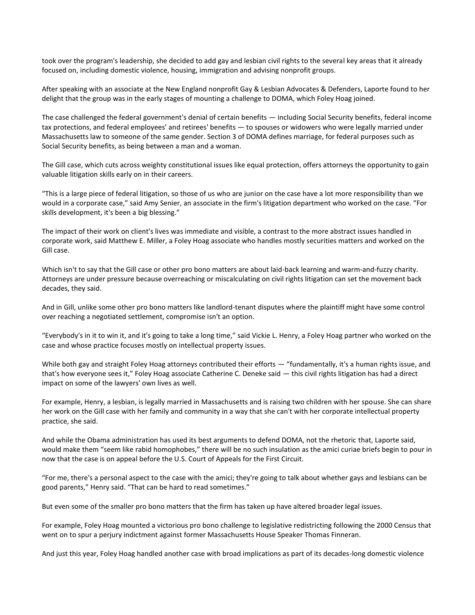took over the program's leadership, she decided to add gay and lesbian civil rights to the several key areas that it already focused on, including domestic violence, housing, immigration and advising nonprofit groups.

After speaking with an associate at the New England nonprofit Gay & Lesbian Advocates & Defenders, Laporte found to her delight that the group was in the early stages of mounting a challenge to DOMA, which Foley Hoag joined.

The case challenged the federal government's denial of certain benefits — including Social Security benefits, federal income tax protections, and federal employees' and retirees' benefits — to spouses or widowers who were legally married under Massachusetts law to someone of the same gender. Section 3 of DOMA defines marriage, for federal purposes such as Social Security benefits, as being between a man and a woman.

The Gill case, which cuts across weighty constitutional issues like equal protection, offers attorneys the opportunity to gain valuable litigation skills early on in their careers.

"This is a large piece of federal litigation, so those of us who are junior on the case have a lot more responsibility than we would in a corporate case," said Amy Senier, an associate in the firm's litigation department who worked on the case. "For skills development, it's been a big blessing."

The impact of their work on client's lives was immediate and visible, a contrast to the more abstract issues handled in corporate work, said Matthew E. Miller, a Foley Hoag associate who handles mostly securities matters and worked on the Gill case.

Which isn't to say that the Gill case or other pro bono matters are about laid-back learning and warm-and-fuzzy charity. Attorneys are under pressure because overreaching or miscalculating on civil rights litigation can set the movement back decades, they said.

And in Gill, unlike some other pro bono matters like landlord-tenant disputes where the plaintiff might have some control over reaching a negotiated settlement, compromise isn't an option.

"Everybody's in it to win it, and it's going to take a long time," said Vickie L. Henry, a Foley Hoag partner who worked on the case and whose practice focuses mostly on intellectual property issues.

While both gay and straight Foley Hoag attorneys contributed their efforts — "fundamentally, it's a human rights issue, and that's how everyone sees it," Foley Hoag associate Catherine C. Deneke said — this civil rights litigation has had a direct impact on some of the lawyers' own lives as well.

For example, Henry, a lesbian, is legally married in Massachusetts and is raising two children with her spouse. She can share her work on the Gill case with her family and community in a way that she can't with her corporate intellectual property practice, she said.

And while the Obama administration has used its best arguments to defend DOMA, not the rhetoric that, Laporte said, would make them "seem like rabid homophobes," there will be no such insulation as the amici curiae briefs begin to pour in now that the case is on appeal before the U.S. Court of Appeals for the First Circuit.

"For me, there's a personal aspect to the case with the amici; they're going to talk about whether gays and lesbians can be good parents," Henry said. "That can be hard to read sometimes."

But even some of the smaller pro bono matters that the firm has taken up have altered broader legal issues.

For example, Foley Hoag mounted a victorious pro bono challenge to legislative redistricting following the 2000 Census that went on to spur a perjury indictment against former Massachusetts House Speaker Thomas Finneran.

And just this year, Foley Hoag handled another case with broad implications as part of its decades-long domestic violence